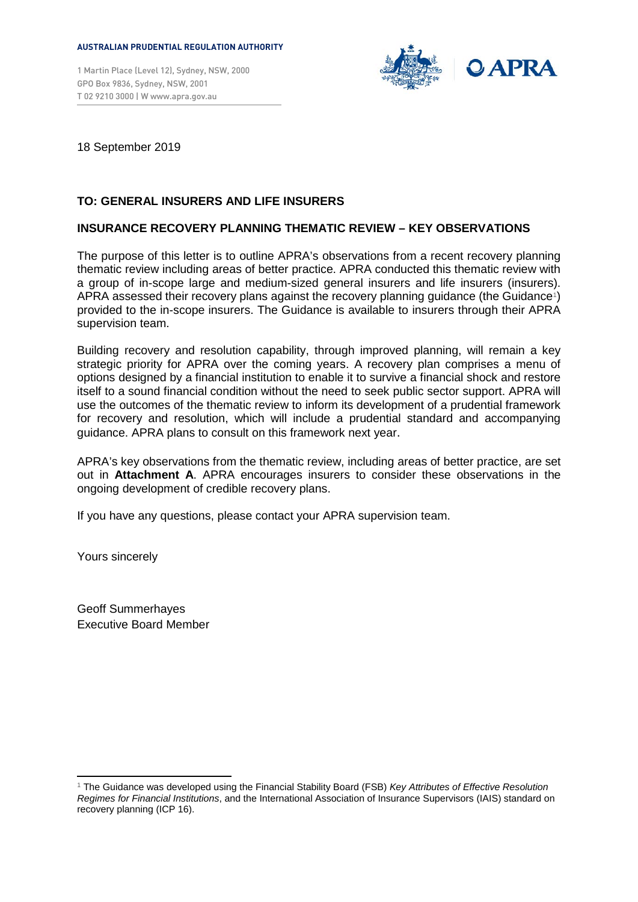#### **AUSTRALIAN PRUDENTIAL REGULATION AUTHORITY**

1 Martin Place (Level 12), Sydney, NSW, 2000 GPO Box 9836, Sydney, NSW, 2001 T 02 9210 3000 | [W www.apra.gov.au](http://www.apra.gov.au/)



18 September 2019

# **TO: GENERAL INSURERS AND LIFE INSURERS**

# **INSURANCE RECOVERY PLANNING THEMATIC REVIEW – KEY OBSERVATIONS**

The purpose of this letter is to outline APRA's observations from a recent recovery planning thematic review including areas of better practice. APRA conducted this thematic review with a group of in-scope large and medium-sized general insurers and life insurers (insurers). APRA assessed their recovery plans against the recovery planning guidance (the Guidance[1\)](#page-0-0) provided to the in-scope insurers. The Guidance is available to insurers through their APRA supervision team.

Building recovery and resolution capability, through improved planning, will remain a key strategic priority for APRA over the coming years. A recovery plan comprises a menu of options designed by a financial institution to enable it to survive a financial shock and restore itself to a sound financial condition without the need to seek public sector support. APRA will use the outcomes of the thematic review to inform its development of a prudential framework for recovery and resolution, which will include a prudential standard and accompanying guidance. APRA plans to consult on this framework next year.

APRA's key observations from the thematic review, including areas of better practice, are set out in **Attachment A**. APRA encourages insurers to consider these observations in the ongoing development of credible recovery plans.

If you have any questions, please contact your APRA supervision team.

Yours sincerely

Geoff Summerhayes Executive Board Member

<span id="page-0-0"></span> <sup>1</sup> The Guidance was developed using the Financial Stability Board (FSB) *Key Attributes of Effective Resolution Regimes for Financial Institutions*, and the International Association of Insurance Supervisors (IAIS) standard on recovery planning (ICP 16).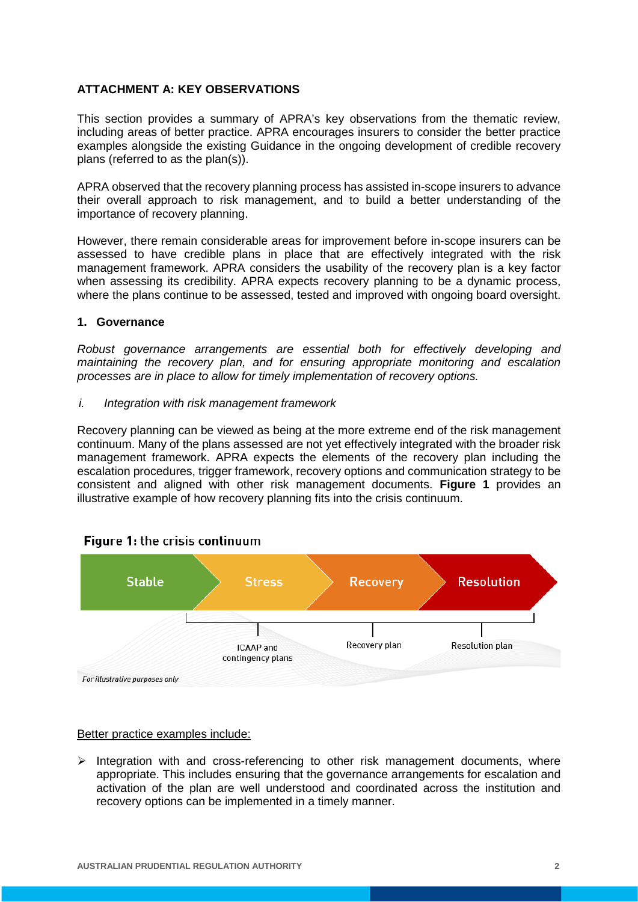# **ATTACHMENT A: KEY OBSERVATIONS**

This section provides a summary of APRA's key observations from the thematic review, including areas of better practice. APRA encourages insurers to consider the better practice examples alongside the existing Guidance in the ongoing development of credible recovery plans (referred to as the plan(s)).

APRA observed that the recovery planning process has assisted in-scope insurers to advance their overall approach to risk management, and to build a better understanding of the importance of recovery planning.

However, there remain considerable areas for improvement before in-scope insurers can be assessed to have credible plans in place that are effectively integrated with the risk management framework. APRA considers the usability of the recovery plan is a key factor when assessing its credibility. APRA expects recovery planning to be a dynamic process, where the plans continue to be assessed, tested and improved with ongoing board oversight.

# **1. Governance**

*Robust governance arrangements are essential both for effectively developing and maintaining the recovery plan, and for ensuring appropriate monitoring and escalation processes are in place to allow for timely implementation of recovery options.*

*i. Integration with risk management framework*

Recovery planning can be viewed as being at the more extreme end of the risk management continuum. Many of the plans assessed are not yet effectively integrated with the broader risk management framework. APRA expects the elements of the recovery plan including the escalation procedures, trigger framework, recovery options and communication strategy to be consistent and aligned with other risk management documents. **Figure 1** provides an illustrative example of how recovery planning fits into the crisis continuum.



# Figure 1: the crisis continuum

### Better practice examples include:

 $\triangleright$  Integration with and cross-referencing to other risk management documents, where appropriate. This includes ensuring that the governance arrangements for escalation and activation of the plan are well understood and coordinated across the institution and recovery options can be implemented in a timely manner.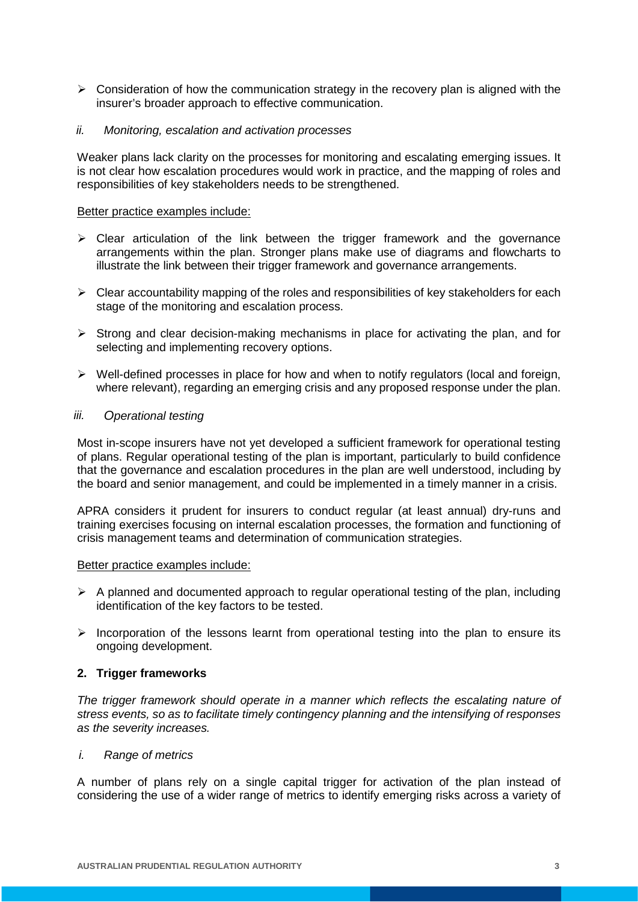- $\triangleright$  Consideration of how the communication strategy in the recovery plan is aligned with the insurer's broader approach to effective communication.
- *ii. Monitoring, escalation and activation processes*

Weaker plans lack clarity on the processes for monitoring and escalating emerging issues. It is not clear how escalation procedures would work in practice, and the mapping of roles and responsibilities of key stakeholders needs to be strengthened.

### Better practice examples include:

- $\triangleright$  Clear articulation of the link between the trigger framework and the governance arrangements within the plan. Stronger plans make use of diagrams and flowcharts to illustrate the link between their trigger framework and governance arrangements.
- $\triangleright$  Clear accountability mapping of the roles and responsibilities of key stakeholders for each stage of the monitoring and escalation process.
- $\triangleright$  Strong and clear decision-making mechanisms in place for activating the plan, and for selecting and implementing recovery options.
- $\triangleright$  Well-defined processes in place for how and when to notify regulators (local and foreign, where relevant), regarding an emerging crisis and any proposed response under the plan.

# *iii. Operational testing*

Most in-scope insurers have not yet developed a sufficient framework for operational testing of plans. Regular operational testing of the plan is important, particularly to build confidence that the governance and escalation procedures in the plan are well understood, including by the board and senior management, and could be implemented in a timely manner in a crisis.

APRA considers it prudent for insurers to conduct regular (at least annual) dry-runs and training exercises focusing on internal escalation processes, the formation and functioning of crisis management teams and determination of communication strategies.

### Better practice examples include:

- $\triangleright$  A planned and documented approach to regular operational testing of the plan, including identification of the key factors to be tested.
- $\triangleright$  Incorporation of the lessons learnt from operational testing into the plan to ensure its ongoing development.

# **2. Trigger frameworks**

*The trigger framework should operate in a manner which reflects the escalating nature of stress events, so as to facilitate timely contingency planning and the intensifying of responses as the severity increases.*

### *i. Range of metrics*

A number of plans rely on a single capital trigger for activation of the plan instead of considering the use of a wider range of metrics to identify emerging risks across a variety of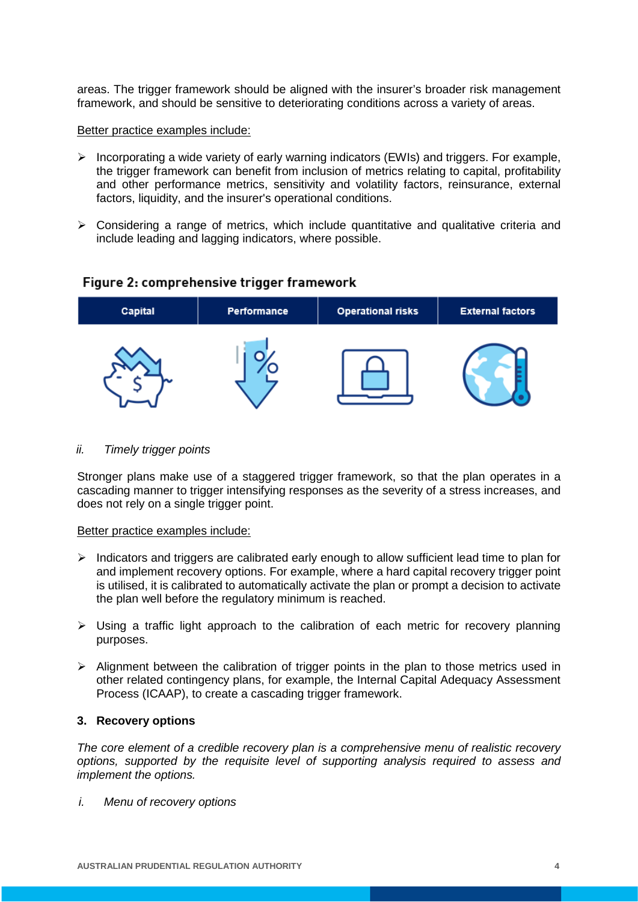areas. The trigger framework should be aligned with the insurer's broader risk management framework, and should be sensitive to deteriorating conditions across a variety of areas.

### Better practice examples include:

- $\triangleright$  Incorporating a wide variety of early warning indicators (EWIs) and triggers. For example, the trigger framework can benefit from inclusion of metrics relating to capital, profitability and other performance metrics, sensitivity and volatility factors, reinsurance, external factors, liquidity, and the insurer's operational conditions.
- $\triangleright$  Considering a range of metrics, which include quantitative and qualitative criteria and include leading and lagging indicators, where possible.

# Figure 2: comprehensive trigger framework



### *ii. Timely trigger points*

Stronger plans make use of a staggered trigger framework, so that the plan operates in a cascading manner to trigger intensifying responses as the severity of a stress increases, and does not rely on a single trigger point.

### Better practice examples include:

- $\triangleright$  Indicators and triggers are calibrated early enough to allow sufficient lead time to plan for and implement recovery options. For example, where a hard capital recovery trigger point is utilised, it is calibrated to automatically activate the plan or prompt a decision to activate the plan well before the regulatory minimum is reached.
- $\triangleright$  Using a traffic light approach to the calibration of each metric for recovery planning purposes.
- $\triangleright$  Alignment between the calibration of trigger points in the plan to those metrics used in other related contingency plans, for example, the Internal Capital Adequacy Assessment Process (ICAAP), to create a cascading trigger framework.

# **3. Recovery options**

*The core element of a credible recovery plan is a comprehensive menu of realistic recovery options, supported by the requisite level of supporting analysis required to assess and implement the options.*

*i. Menu of recovery options*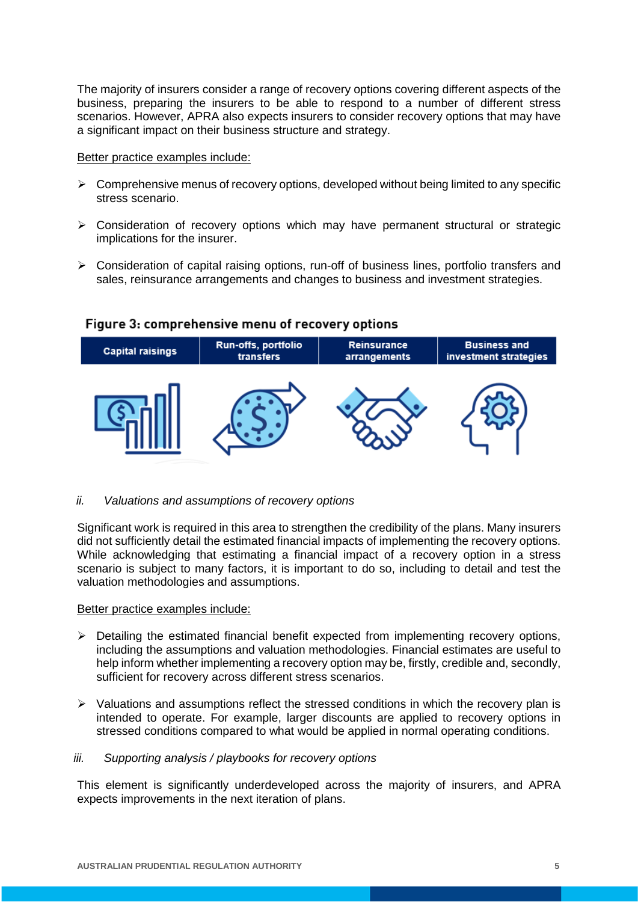The majority of insurers consider a range of recovery options covering different aspects of the business, preparing the insurers to be able to respond to a number of different stress scenarios. However, APRA also expects insurers to consider recovery options that may have a significant impact on their business structure and strategy.

### Better practice examples include:

- $\triangleright$  Comprehensive menus of recovery options, developed without being limited to any specific stress scenario.
- $\triangleright$  Consideration of recovery options which may have permanent structural or strategic implications for the insurer.
- $\triangleright$  Consideration of capital raising options, run-off of business lines, portfolio transfers and sales, reinsurance arrangements and changes to business and investment strategies.

# Figure 3: comprehensive menu of recovery options



# *ii. Valuations and assumptions of recovery options*

Significant work is required in this area to strengthen the credibility of the plans. Many insurers did not sufficiently detail the estimated financial impacts of implementing the recovery options. While acknowledging that estimating a financial impact of a recovery option in a stress scenario is subject to many factors, it is important to do so, including to detail and test the valuation methodologies and assumptions.

### Better practice examples include:

- $\triangleright$  Detailing the estimated financial benefit expected from implementing recovery options, including the assumptions and valuation methodologies. Financial estimates are useful to help inform whether implementing a recovery option may be, firstly, credible and, secondly, sufficient for recovery across different stress scenarios.
- $\triangleright$  Valuations and assumptions reflect the stressed conditions in which the recovery plan is intended to operate. For example, larger discounts are applied to recovery options in stressed conditions compared to what would be applied in normal operating conditions.

### *iii. Supporting analysis / playbooks for recovery options*

This element is significantly underdeveloped across the majority of insurers, and APRA expects improvements in the next iteration of plans.